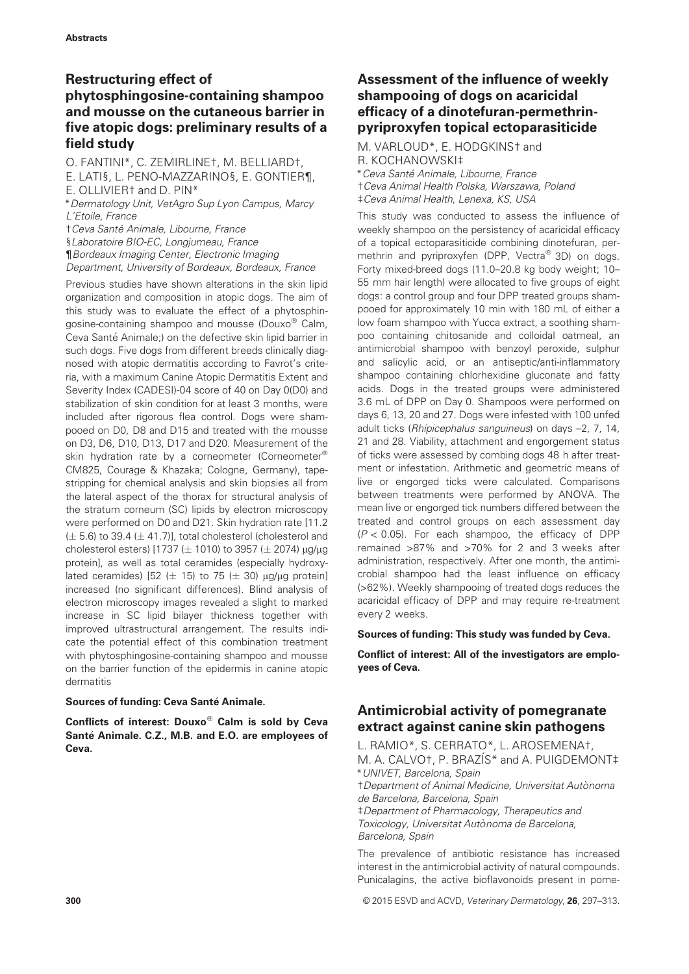# Restructuring effect of phytosphingosine-containing shampoo and mousse on the cutaneous barrier in five atopic dogs: preliminary results of a field study

O. FANTINI\*, C. ZEMIRLINE†, M. BELLIARD†, E. LATI§, L. PENO-MAZZARINO§, E. GONTIER¶, E. OLLIVIER† and D. PIN\* \*Dermatology Unit, VetAgro Sup Lyon Campus, Marcy L'Etoile, France †Ceva Santé Animale, Libourne, France §Laboratoire BIO-EC, Longjumeau, France

¶Bordeaux Imaging Center, Electronic Imaging Department, University of Bordeaux, Bordeaux, France

Previous studies have shown alterations in the skin lipid organization and composition in atopic dogs. The aim of this study was to evaluate the effect of a phytosphingosine-containing shampoo and mousse (Douxo $^{\circledR}$  Calm, Ceva Santé Animale;) on the defective skin lipid barrier in such dogs. Five dogs from different breeds clinically diagnosed with atopic dermatitis according to Favrot's criteria, with a maximum Canine Atopic Dermatitis Extent and Severity Index (CADESI)-04 score of 40 on Day 0(D0) and stabilization of skin condition for at least 3 months, were included after rigorous flea control. Dogs were shampooed on D0, D8 and D15 and treated with the mousse on D3, D6, D10, D13, D17 and D20. Measurement of the skin hydration rate by a corneometer (Corneometer® CM825, Courage & Khazaka; Cologne, Germany), tapestripping for chemical analysis and skin biopsies all from the lateral aspect of the thorax for structural analysis of the stratum corneum (SC) lipids by electron microscopy were performed on D0 and D21. Skin hydration rate [11.2  $(\pm 5.6)$  to 39.4 ( $\pm$  41.7)], total cholesterol (cholesterol and cholesterol esters) [1737 ( $\pm$  1010) to 3957 ( $\pm$  2074)  $\mu$ g/ $\mu$ g protein], as well as total ceramides (especially hydroxylated ceramides) [52 ( $\pm$  15) to 75 ( $\pm$  30)  $\mu$ g/ $\mu$ g protein] increased (no significant differences). Blind analysis of electron microscopy images revealed a slight to marked increase in SC lipid bilayer thickness together with improved ultrastructural arrangement. The results indicate the potential effect of this combination treatment with phytosphingosine-containing shampoo and mousse on the barrier function of the epidermis in canine atopic dermatitis

#### Sources of funding: Ceva Santé Animale.

Conflicts of interest: Douxo $^{\circledR}$  Calm is sold by Ceva Santé Animale. C.Z., M.B. and E.O. are employees of Ceva.

# Assessment of the influence of weekly shampooing of dogs on acaricidal efficacy of a dinotefuran-permethrinpyriproxyfen topical ectoparasiticide

M. VARLOUD\*, E. HODGKINS† and R. KOCHANOWSKI‡ \* Ceva Santé Animale, Libourne, France †Ceva Animal Health Polska, Warszawa, Poland ‡Ceva Animal Health, Lenexa, KS, USA

This study was conducted to assess the influence of weekly shampoo on the persistency of acaricidal efficacy of a topical ectoparasiticide combining dinotefuran, permethrin and pyriproxyfen (DPP, Vectra<sup>®</sup> 3D) on dogs. Forty mixed-breed dogs (11.0–20.8 kg body weight; 10– 55 mm hair length) were allocated to five groups of eight dogs: a control group and four DPP treated groups shampooed for approximately 10 min with 180 mL of either a low foam shampoo with Yucca extract, a soothing shampoo containing chitosanide and colloidal oatmeal, an antimicrobial shampoo with benzoyl peroxide, sulphur and salicylic acid, or an antiseptic/anti-inflammatory shampoo containing chlorhexidine gluconate and fatty acids. Dogs in the treated groups were administered 3.6 mL of DPP on Day 0. Shampoos were performed on days 6, 13, 20 and 27. Dogs were infested with 100 unfed adult ticks (Rhipicephalus sanguineus) on days –2, 7, 14, 21 and 28. Viability, attachment and engorgement status of ticks were assessed by combing dogs 48 h after treatment or infestation. Arithmetic and geometric means of live or engorged ticks were calculated. Comparisons between treatments were performed by ANOVA. The mean live or engorged tick numbers differed between the treated and control groups on each assessment day  $(P < 0.05)$ . For each shampoo, the efficacy of DPP remained >87% and >70% for 2 and 3 weeks after administration, respectively. After one month, the antimicrobial shampoo had the least influence on efficacy (>62%). Weekly shampooing of treated dogs reduces the acaricidal efficacy of DPP and may require re-treatment every 2 weeks.

Sources of funding: This study was funded by Ceva.

Conflict of interest: All of the investigators are employees of Ceva.

# Antimicrobial activity of pomegranate extract against canine skin pathogens

L. RAMIO\*, S. CERRATO\*, L. AROSEMENA†, M. A. CALVO†, P. BRAZÍS\* and A. PUIGDEMONT‡ \*UNIVET, Barcelona, Spain †Department of Animal Medicine, Universitat Autonoma de Barcelona, Barcelona, Spain ‡Department of Pharmacology, Therapeutics and Toxicology, Universitat Autònoma de Barcelona, Barcelona, Spain

The prevalence of antibiotic resistance has increased interest in the antimicrobial activity of natural compounds. Punicalagins, the active bioflavonoids present in pome-

300 © 2015 ESVD and ACVD, Veterinary Dermatology, 26, 297–313.